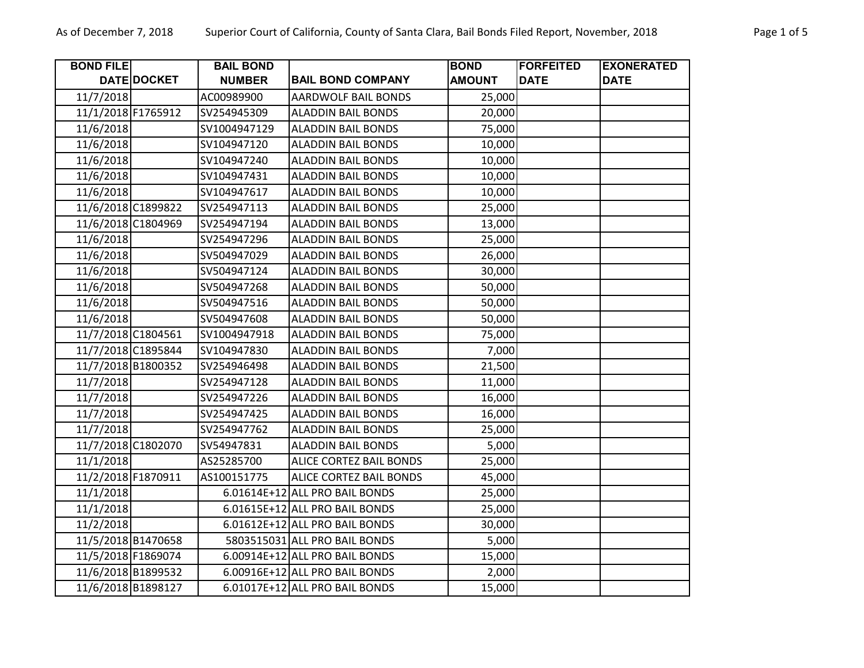| <b>BOND FILE</b>   |                    | <b>BAIL BOND</b> |                                | <b>BOND</b>   | <b>FORFEITED</b> | <b>EXONERATED</b> |
|--------------------|--------------------|------------------|--------------------------------|---------------|------------------|-------------------|
|                    | DATE DOCKET        | <b>NUMBER</b>    | <b>BAIL BOND COMPANY</b>       | <b>AMOUNT</b> | <b>DATE</b>      | <b>DATE</b>       |
| 11/7/2018          |                    | AC00989900       | <b>AARDWOLF BAIL BONDS</b>     | 25,000        |                  |                   |
| 11/1/2018 F1765912 |                    | SV254945309      | <b>ALADDIN BAIL BONDS</b>      | 20,000        |                  |                   |
| 11/6/2018          |                    | SV1004947129     | <b>ALADDIN BAIL BONDS</b>      | 75,000        |                  |                   |
| 11/6/2018          |                    | SV104947120      | <b>ALADDIN BAIL BONDS</b>      | 10,000        |                  |                   |
| 11/6/2018          |                    | SV104947240      | <b>ALADDIN BAIL BONDS</b>      | 10,000        |                  |                   |
| 11/6/2018          |                    | SV104947431      | <b>ALADDIN BAIL BONDS</b>      | 10,000        |                  |                   |
| 11/6/2018          |                    | SV104947617      | <b>ALADDIN BAIL BONDS</b>      | 10,000        |                  |                   |
|                    | 11/6/2018 C1899822 | SV254947113      | <b>ALADDIN BAIL BONDS</b>      | 25,000        |                  |                   |
|                    | 11/6/2018 C1804969 | SV254947194      | <b>ALADDIN BAIL BONDS</b>      | 13,000        |                  |                   |
| 11/6/2018          |                    | SV254947296      | <b>ALADDIN BAIL BONDS</b>      | 25,000        |                  |                   |
| 11/6/2018          |                    | SV504947029      | <b>ALADDIN BAIL BONDS</b>      | 26,000        |                  |                   |
| 11/6/2018          |                    | SV504947124      | <b>ALADDIN BAIL BONDS</b>      | 30,000        |                  |                   |
| 11/6/2018          |                    | SV504947268      | <b>ALADDIN BAIL BONDS</b>      | 50,000        |                  |                   |
| 11/6/2018          |                    | SV504947516      | <b>ALADDIN BAIL BONDS</b>      | 50,000        |                  |                   |
| 11/6/2018          |                    | SV504947608      | <b>ALADDIN BAIL BONDS</b>      | 50,000        |                  |                   |
|                    | 11/7/2018 C1804561 | SV1004947918     | <b>ALADDIN BAIL BONDS</b>      | 75,000        |                  |                   |
|                    | 11/7/2018 C1895844 | SV104947830      | <b>ALADDIN BAIL BONDS</b>      | 7,000         |                  |                   |
|                    | 11/7/2018 B1800352 | SV254946498      | <b>ALADDIN BAIL BONDS</b>      | 21,500        |                  |                   |
| 11/7/2018          |                    | SV254947128      | <b>ALADDIN BAIL BONDS</b>      | 11,000        |                  |                   |
| 11/7/2018          |                    | SV254947226      | <b>ALADDIN BAIL BONDS</b>      | 16,000        |                  |                   |
| 11/7/2018          |                    | SV254947425      | <b>ALADDIN BAIL BONDS</b>      | 16,000        |                  |                   |
| 11/7/2018          |                    | SV254947762      | <b>ALADDIN BAIL BONDS</b>      | 25,000        |                  |                   |
|                    | 11/7/2018 C1802070 | SV54947831       | <b>ALADDIN BAIL BONDS</b>      | 5,000         |                  |                   |
| 11/1/2018          |                    | AS25285700       | ALICE CORTEZ BAIL BONDS        | 25,000        |                  |                   |
| 11/2/2018 F1870911 |                    | AS100151775      | ALICE CORTEZ BAIL BONDS        | 45,000        |                  |                   |
| 11/1/2018          |                    |                  | 6.01614E+12 ALL PRO BAIL BONDS | 25,000        |                  |                   |
| 11/1/2018          |                    |                  | 6.01615E+12 ALL PRO BAIL BONDS | 25,000        |                  |                   |
| 11/2/2018          |                    |                  | 6.01612E+12 ALL PRO BAIL BONDS | 30,000        |                  |                   |
|                    | 11/5/2018 B1470658 |                  | 5803515031 ALL PRO BAIL BONDS  | 5,000         |                  |                   |
| 11/5/2018 F1869074 |                    |                  | 6.00914E+12 ALL PRO BAIL BONDS | 15,000        |                  |                   |
|                    | 11/6/2018 B1899532 |                  | 6.00916E+12 ALL PRO BAIL BONDS | 2,000         |                  |                   |
|                    | 11/6/2018 B1898127 |                  | 6.01017E+12 ALL PRO BAIL BONDS | 15,000        |                  |                   |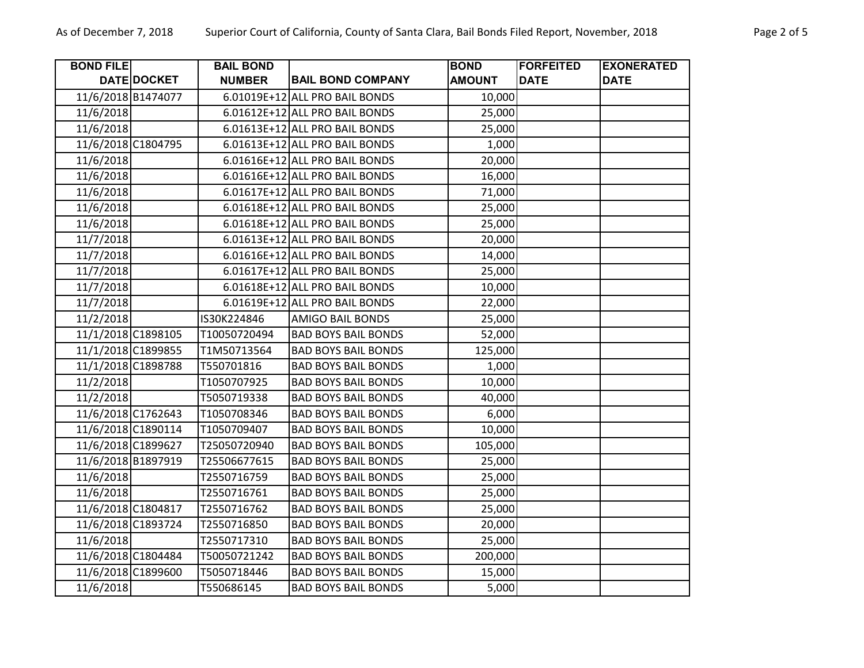| <b>BOND FILE</b>   |                    | <b>BAIL BOND</b> |                                | <b>BOND</b>   | <b>FORFEITED</b> | <b>EXONERATED</b> |
|--------------------|--------------------|------------------|--------------------------------|---------------|------------------|-------------------|
|                    | DATE DOCKET        | <b>NUMBER</b>    | <b>BAIL BOND COMPANY</b>       | <b>AMOUNT</b> | <b>DATE</b>      | <b>DATE</b>       |
|                    | 11/6/2018 B1474077 |                  | 6.01019E+12 ALL PRO BAIL BONDS | 10,000        |                  |                   |
| 11/6/2018          |                    |                  | 6.01612E+12 ALL PRO BAIL BONDS | 25,000        |                  |                   |
| 11/6/2018          |                    |                  | 6.01613E+12 ALL PRO BAIL BONDS | 25,000        |                  |                   |
| 11/6/2018 C1804795 |                    |                  | 6.01613E+12 ALL PRO BAIL BONDS | 1,000         |                  |                   |
| 11/6/2018          |                    |                  | 6.01616E+12 ALL PRO BAIL BONDS | 20,000        |                  |                   |
| 11/6/2018          |                    |                  | 6.01616E+12 ALL PRO BAIL BONDS | 16,000        |                  |                   |
| 11/6/2018          |                    |                  | 6.01617E+12 ALL PRO BAIL BONDS | 71,000        |                  |                   |
| 11/6/2018          |                    |                  | 6.01618E+12 ALL PRO BAIL BONDS | 25,000        |                  |                   |
| 11/6/2018          |                    |                  | 6.01618E+12 ALL PRO BAIL BONDS | 25,000        |                  |                   |
| 11/7/2018          |                    |                  | 6.01613E+12 ALL PRO BAIL BONDS | 20,000        |                  |                   |
| 11/7/2018          |                    |                  | 6.01616E+12 ALL PRO BAIL BONDS | 14,000        |                  |                   |
| 11/7/2018          |                    |                  | 6.01617E+12 ALL PRO BAIL BONDS | 25,000        |                  |                   |
| 11/7/2018          |                    |                  | 6.01618E+12 ALL PRO BAIL BONDS | 10,000        |                  |                   |
| 11/7/2018          |                    |                  | 6.01619E+12 ALL PRO BAIL BONDS | 22,000        |                  |                   |
| 11/2/2018          |                    | IS30K224846      | <b>AMIGO BAIL BONDS</b>        | 25,000        |                  |                   |
| 11/1/2018 C1898105 |                    | T10050720494     | <b>BAD BOYS BAIL BONDS</b>     | 52,000        |                  |                   |
| 11/1/2018 C1899855 |                    | T1M50713564      | <b>BAD BOYS BAIL BONDS</b>     | 125,000       |                  |                   |
| 11/1/2018 C1898788 |                    | T550701816       | <b>BAD BOYS BAIL BONDS</b>     | 1,000         |                  |                   |
| 11/2/2018          |                    | T1050707925      | <b>BAD BOYS BAIL BONDS</b>     | 10,000        |                  |                   |
| 11/2/2018          |                    | T5050719338      | <b>BAD BOYS BAIL BONDS</b>     | 40,000        |                  |                   |
| 11/6/2018 C1762643 |                    | T1050708346      | <b>BAD BOYS BAIL BONDS</b>     | 6,000         |                  |                   |
| 11/6/2018 C1890114 |                    | T1050709407      | <b>BAD BOYS BAIL BONDS</b>     | 10,000        |                  |                   |
| 11/6/2018 C1899627 |                    | T25050720940     | <b>BAD BOYS BAIL BONDS</b>     | 105,000       |                  |                   |
| 11/6/2018 B1897919 |                    | T25506677615     | <b>BAD BOYS BAIL BONDS</b>     | 25,000        |                  |                   |
| 11/6/2018          |                    | T2550716759      | <b>BAD BOYS BAIL BONDS</b>     | 25,000        |                  |                   |
| 11/6/2018          |                    | T2550716761      | <b>BAD BOYS BAIL BONDS</b>     | 25,000        |                  |                   |
| 11/6/2018 C1804817 |                    | T2550716762      | <b>BAD BOYS BAIL BONDS</b>     | 25,000        |                  |                   |
| 11/6/2018 C1893724 |                    | T2550716850      | <b>BAD BOYS BAIL BONDS</b>     | 20,000        |                  |                   |
| 11/6/2018          |                    | T2550717310      | <b>BAD BOYS BAIL BONDS</b>     | 25,000        |                  |                   |
| 11/6/2018 C1804484 |                    | T50050721242     | <b>BAD BOYS BAIL BONDS</b>     | 200,000       |                  |                   |
|                    | 11/6/2018 C1899600 | T5050718446      | <b>BAD BOYS BAIL BONDS</b>     | 15,000        |                  |                   |
| 11/6/2018          |                    | T550686145       | <b>BAD BOYS BAIL BONDS</b>     | 5,000         |                  |                   |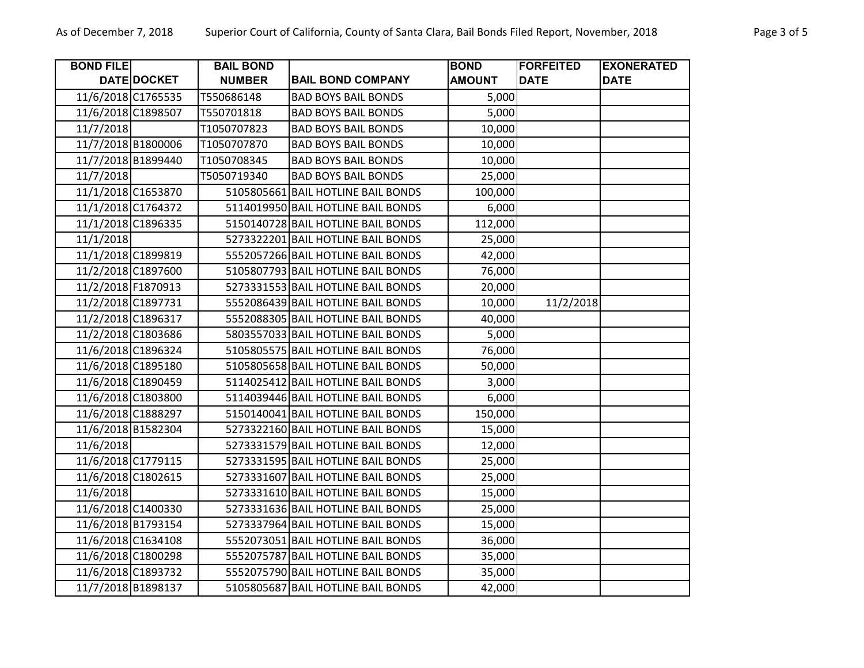| <b>BOND FILE</b>   |             | <b>BAIL BOND</b> |                                    | <b>BOND</b>   | <b>FORFEITED</b> | <b>EXONERATED</b> |
|--------------------|-------------|------------------|------------------------------------|---------------|------------------|-------------------|
|                    | DATE DOCKET | <b>NUMBER</b>    | <b>BAIL BOND COMPANY</b>           | <b>AMOUNT</b> | <b>DATE</b>      | <b>DATE</b>       |
| 11/6/2018 C1765535 |             | T550686148       | <b>BAD BOYS BAIL BONDS</b>         | 5,000         |                  |                   |
| 11/6/2018 C1898507 |             | T550701818       | <b>BAD BOYS BAIL BONDS</b>         | 5,000         |                  |                   |
| 11/7/2018          |             | T1050707823      | <b>BAD BOYS BAIL BONDS</b>         | 10,000        |                  |                   |
| 11/7/2018 B1800006 |             | T1050707870      | <b>BAD BOYS BAIL BONDS</b>         | 10,000        |                  |                   |
| 11/7/2018 B1899440 |             | T1050708345      | <b>BAD BOYS BAIL BONDS</b>         | 10,000        |                  |                   |
| 11/7/2018          |             | T5050719340      | <b>BAD BOYS BAIL BONDS</b>         | 25,000        |                  |                   |
| 11/1/2018 C1653870 |             |                  | 5105805661 BAIL HOTLINE BAIL BONDS | 100,000       |                  |                   |
| 11/1/2018 C1764372 |             |                  | 5114019950 BAIL HOTLINE BAIL BONDS | 6,000         |                  |                   |
| 11/1/2018 C1896335 |             |                  | 5150140728 BAIL HOTLINE BAIL BONDS | 112,000       |                  |                   |
| 11/1/2018          |             |                  | 5273322201 BAIL HOTLINE BAIL BONDS | 25,000        |                  |                   |
| 11/1/2018 C1899819 |             |                  | 5552057266 BAIL HOTLINE BAIL BONDS | 42,000        |                  |                   |
| 11/2/2018 C1897600 |             |                  | 5105807793 BAIL HOTLINE BAIL BONDS | 76,000        |                  |                   |
| 11/2/2018 F1870913 |             |                  | 5273331553 BAIL HOTLINE BAIL BONDS | 20,000        |                  |                   |
| 11/2/2018 C1897731 |             |                  | 5552086439 BAIL HOTLINE BAIL BONDS | 10,000        | 11/2/2018        |                   |
| 11/2/2018 C1896317 |             |                  | 5552088305 BAIL HOTLINE BAIL BONDS | 40,000        |                  |                   |
| 11/2/2018 C1803686 |             |                  | 5803557033 BAIL HOTLINE BAIL BONDS | 5,000         |                  |                   |
| 11/6/2018 C1896324 |             |                  | 5105805575 BAIL HOTLINE BAIL BONDS | 76,000        |                  |                   |
| 11/6/2018 C1895180 |             |                  | 5105805658 BAIL HOTLINE BAIL BONDS | 50,000        |                  |                   |
| 11/6/2018 C1890459 |             |                  | 5114025412 BAIL HOTLINE BAIL BONDS | 3,000         |                  |                   |
| 11/6/2018 C1803800 |             |                  | 5114039446 BAIL HOTLINE BAIL BONDS | 6,000         |                  |                   |
| 11/6/2018 C1888297 |             |                  | 5150140041 BAIL HOTLINE BAIL BONDS | 150,000       |                  |                   |
| 11/6/2018 B1582304 |             |                  | 5273322160 BAIL HOTLINE BAIL BONDS | 15,000        |                  |                   |
| 11/6/2018          |             |                  | 5273331579 BAIL HOTLINE BAIL BONDS | 12,000        |                  |                   |
| 11/6/2018 C1779115 |             |                  | 5273331595 BAIL HOTLINE BAIL BONDS | 25,000        |                  |                   |
| 11/6/2018 C1802615 |             |                  | 5273331607 BAIL HOTLINE BAIL BONDS | 25,000        |                  |                   |
| 11/6/2018          |             |                  | 5273331610 BAIL HOTLINE BAIL BONDS | 15,000        |                  |                   |
| 11/6/2018 C1400330 |             |                  | 5273331636 BAIL HOTLINE BAIL BONDS | 25,000        |                  |                   |
| 11/6/2018 B1793154 |             |                  | 5273337964 BAIL HOTLINE BAIL BONDS | 15,000        |                  |                   |
| 11/6/2018 C1634108 |             |                  | 5552073051 BAIL HOTLINE BAIL BONDS | 36,000        |                  |                   |
| 11/6/2018 C1800298 |             |                  | 5552075787 BAIL HOTLINE BAIL BONDS | 35,000        |                  |                   |
| 11/6/2018 C1893732 |             |                  | 5552075790 BAIL HOTLINE BAIL BONDS | 35,000        |                  |                   |
| 11/7/2018 B1898137 |             |                  | 5105805687 BAIL HOTLINE BAIL BONDS | 42,000        |                  |                   |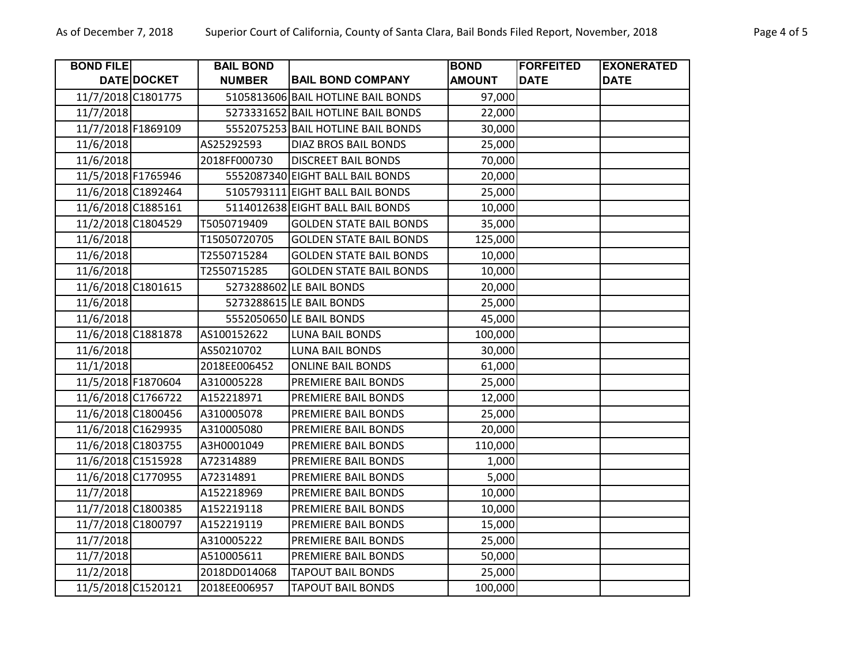| <b>BOND FILE</b>   |             | <b>BAIL BOND</b> |                                    | <b>BOND</b>   | <b>FORFEITED</b> | <b>EXONERATED</b> |
|--------------------|-------------|------------------|------------------------------------|---------------|------------------|-------------------|
|                    | DATE DOCKET | <b>NUMBER</b>    | <b>BAIL BOND COMPANY</b>           | <b>AMOUNT</b> | <b>DATE</b>      | <b>DATE</b>       |
| 11/7/2018 C1801775 |             |                  | 5105813606 BAIL HOTLINE BAIL BONDS | 97,000        |                  |                   |
| 11/7/2018          |             |                  | 5273331652 BAIL HOTLINE BAIL BONDS | 22,000        |                  |                   |
| 11/7/2018 F1869109 |             |                  | 5552075253 BAIL HOTLINE BAIL BONDS | 30,000        |                  |                   |
| 11/6/2018          |             | AS25292593       | DIAZ BROS BAIL BONDS               | 25,000        |                  |                   |
| 11/6/2018          |             | 2018FF000730     | <b>DISCREET BAIL BONDS</b>         | 70,000        |                  |                   |
| 11/5/2018 F1765946 |             |                  | 5552087340 EIGHT BALL BAIL BONDS   | 20,000        |                  |                   |
| 11/6/2018 C1892464 |             |                  | 5105793111 EIGHT BALL BAIL BONDS   | 25,000        |                  |                   |
| 11/6/2018 C1885161 |             |                  | 5114012638 EIGHT BALL BAIL BONDS   | 10,000        |                  |                   |
| 11/2/2018 C1804529 |             | T5050719409      | <b>GOLDEN STATE BAIL BONDS</b>     | 35,000        |                  |                   |
| 11/6/2018          |             | T15050720705     | <b>GOLDEN STATE BAIL BONDS</b>     | 125,000       |                  |                   |
| 11/6/2018          |             | T2550715284      | <b>GOLDEN STATE BAIL BONDS</b>     | 10,000        |                  |                   |
| 11/6/2018          |             | T2550715285      | <b>GOLDEN STATE BAIL BONDS</b>     | 10,000        |                  |                   |
| 11/6/2018 C1801615 |             |                  | 5273288602 LE BAIL BONDS           | 20,000        |                  |                   |
| 11/6/2018          |             |                  | 5273288615 LE BAIL BONDS           | 25,000        |                  |                   |
| 11/6/2018          |             |                  | 5552050650 LE BAIL BONDS           | 45,000        |                  |                   |
| 11/6/2018 C1881878 |             | AS100152622      | <b>LUNA BAIL BONDS</b>             | 100,000       |                  |                   |
| 11/6/2018          |             | AS50210702       | <b>LUNA BAIL BONDS</b>             | 30,000        |                  |                   |
| 11/1/2018          |             | 2018EE006452     | <b>ONLINE BAIL BONDS</b>           | 61,000        |                  |                   |
| 11/5/2018 F1870604 |             | A310005228       | PREMIERE BAIL BONDS                | 25,000        |                  |                   |
| 11/6/2018 C1766722 |             | A152218971       | PREMIERE BAIL BONDS                | 12,000        |                  |                   |
| 11/6/2018 C1800456 |             | A310005078       | PREMIERE BAIL BONDS                | 25,000        |                  |                   |
| 11/6/2018 C1629935 |             | A310005080       | PREMIERE BAIL BONDS                | 20,000        |                  |                   |
| 11/6/2018 C1803755 |             | A3H0001049       | PREMIERE BAIL BONDS                | 110,000       |                  |                   |
| 11/6/2018 C1515928 |             | A72314889        | PREMIERE BAIL BONDS                | 1,000         |                  |                   |
| 11/6/2018 C1770955 |             | A72314891        | PREMIERE BAIL BONDS                | 5,000         |                  |                   |
| 11/7/2018          |             | A152218969       | PREMIERE BAIL BONDS                | 10,000        |                  |                   |
| 11/7/2018 C1800385 |             | A152219118       | PREMIERE BAIL BONDS                | 10,000        |                  |                   |
| 11/7/2018 C1800797 |             | A152219119       | PREMIERE BAIL BONDS                | 15,000        |                  |                   |
| 11/7/2018          |             | A310005222       | PREMIERE BAIL BONDS                | 25,000        |                  |                   |
| 11/7/2018          |             | A510005611       | PREMIERE BAIL BONDS                | 50,000        |                  |                   |
| 11/2/2018          |             | 2018DD014068     | <b>TAPOUT BAIL BONDS</b>           | 25,000        |                  |                   |
| 11/5/2018 C1520121 |             | 2018EE006957     | <b>TAPOUT BAIL BONDS</b>           | 100,000       |                  |                   |